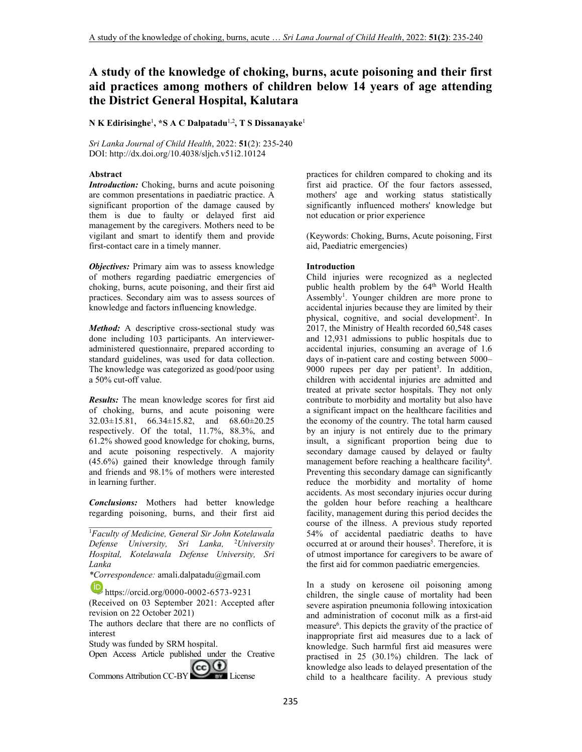# **A study of the knowledge of choking, burns, acute poisoning and their first aid practices among mothers of children below 14 years of age attending the District General Hospital, Kalutara**

 $N$   $K$  Edirisinghe<sup>1</sup>, \*S  $A$   $C$  Dalpatadu<sup>1,2</sup>,  $T$   $S$  Dissanayake<sup>1</sup>

*Sri Lanka Journal of Child Health*, 2022: **51**(2): 235-240 DOI: http://dx.doi.org/10.4038/sljch.v51i2.10124

### **Abstract**

*Introduction:* Choking, burns and acute poisoning are common presentations in paediatric practice. A significant proportion of the damage caused by them is due to faulty or delayed first aid management by the caregivers. Mothers need to be vigilant and smart to identify them and provide first-contact care in a timely manner.

*Objectives:* Primary aim was to assess knowledge of mothers regarding paediatric emergencies of choking, burns, acute poisoning, and their first aid practices. Secondary aim was to assess sources of knowledge and factors influencing knowledge.

*Method:* A descriptive cross-sectional study was done including 103 participants. An intervieweradministered questionnaire, prepared according to standard guidelines, was used for data collection. The knowledge was categorized as good/poor using a 50% cut-off value.

*Results:* The mean knowledge scores for first aid of choking, burns, and acute poisoning were 32.03±15.81, 66.34±15.82, and 68.60±20.25 respectively. Of the total, 11.7%, 88.3%, and 61.2% showed good knowledge for choking, burns, and acute poisoning respectively. A majority (45.6%) gained their knowledge through family and friends and 98.1% of mothers were interested in learning further.

*Conclusions:* Mothers had better knowledge regarding poisoning, burns, and their first aid \_\_\_\_\_\_\_\_\_\_\_\_\_\_\_\_\_\_\_\_\_\_\_\_\_\_\_\_\_\_\_\_\_\_\_\_\_\_\_\_\_

<sup>1</sup>*Faculty of Medicine, General Sir John Kotelawala Defense University, Sri Lanka,* <sup>2</sup>*University Hospital, Kotelawala Defense University, Sri Lanka* 

*\*Correspondence:* amali.dalpatadu@gmail.com

https://orcid.org/0000-0002-6573-9231

(Received on 03 September 2021: Accepted after revision on 22 October 2021)

The authors declare that there are no conflicts of interest

Study was funded by SRM hospital.

Open Access Article published under the Creative Commons Attribution CC-BY COOL License

practices for children compared to choking and its first aid practice. Of the four factors assessed, mothers' age and working status statistically significantly influenced mothers' knowledge but not education or prior experience

(Keywords: Choking, Burns, Acute poisoning, First aid, Paediatric emergencies)

#### **Introduction**

Child injuries were recognized as a neglected public health problem by the 64<sup>th</sup> World Health Assembly<sup>1</sup>. Younger children are more prone to accidental injuries because they are limited by their physical, cognitive, and social development<sup>2</sup>. In 2017, the Ministry of Health recorded 60,548 cases and 12,931 admissions to public hospitals due to accidental injuries, consuming an average of 1.6 days of in-patient care and costing between 5000– 9000 rupees per day per patient<sup>3</sup>. In addition, children with accidental injuries are admitted and treated at private sector hospitals. They not only contribute to morbidity and mortality but also have a significant impact on the healthcare facilities and the economy of the country. The total harm caused by an injury is not entirely due to the primary insult, a significant proportion being due to secondary damage caused by delayed or faulty management before reaching a healthcare facility<sup>4</sup>. Preventing this secondary damage can significantly reduce the morbidity and mortality of home accidents. As most secondary injuries occur during the golden hour before reaching a healthcare facility, management during this period decides the course of the illness. A previous study reported 54% of accidental paediatric deaths to have occurred at or around their houses<sup>5</sup>. Therefore, it is of utmost importance for caregivers to be aware of the first aid for common paediatric emergencies.

In a study on kerosene oil poisoning among children, the single cause of mortality had been severe aspiration pneumonia following intoxication and administration of coconut milk as a first-aid measure<sup>6</sup>. This depicts the gravity of the practice of inappropriate first aid measures due to a lack of knowledge. Such harmful first aid measures were practised in 25 (30.1%) children. The lack of knowledge also leads to delayed presentation of the child to a healthcare facility. A previous study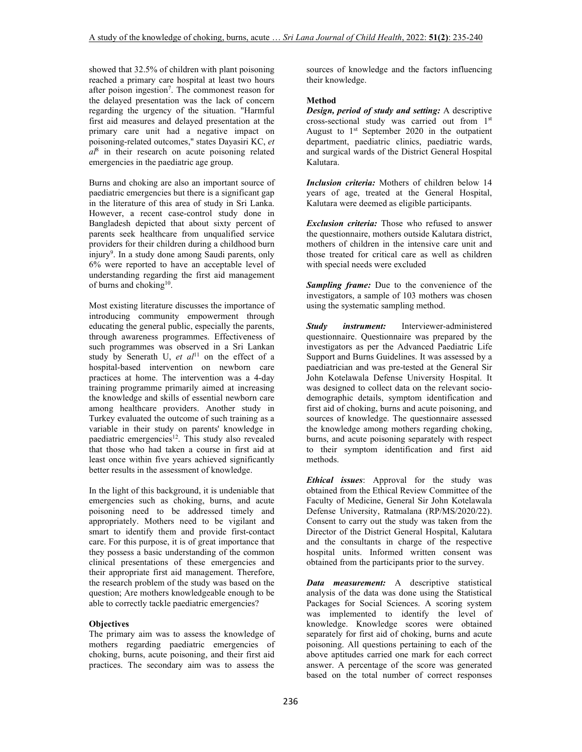showed that 32.5% of children with plant poisoning reached a primary care hospital at least two hours after poison ingestion<sup>7</sup>. The commonest reason for the delayed presentation was the lack of concern regarding the urgency of the situation. "Harmful first aid measures and delayed presentation at the primary care unit had a negative impact on poisoning-related outcomes," states Dayasiri KC, *et al*<sup>8</sup> in their research on acute poisoning related emergencies in the paediatric age group.

Burns and choking are also an important source of paediatric emergencies but there is a significant gap in the literature of this area of study in Sri Lanka. However, a recent case-control study done in Bangladesh depicted that about sixty percent of parents seek healthcare from unqualified service providers for their children during a childhood burn injury<sup>9</sup>. In a study done among Saudi parents, only 6% were reported to have an acceptable level of understanding regarding the first aid management of burns and choking<sup>10</sup>.

Most existing literature discusses the importance of introducing community empowerment through educating the general public, especially the parents, through awareness programmes. Effectiveness of such programmes was observed in a Sri Lankan study by Senerath U, et al<sup>11</sup> on the effect of a hospital-based intervention on newborn care practices at home. The intervention was a 4-day training programme primarily aimed at increasing the knowledge and skills of essential newborn care among healthcare providers. Another study in Turkey evaluated the outcome of such training as a variable in their study on parents' knowledge in paediatric emergencies<sup>12</sup>. This study also revealed that those who had taken a course in first aid at least once within five years achieved significantly better results in the assessment of knowledge.

In the light of this background, it is undeniable that emergencies such as choking, burns, and acute poisoning need to be addressed timely and appropriately. Mothers need to be vigilant and smart to identify them and provide first-contact care. For this purpose, it is of great importance that they possess a basic understanding of the common clinical presentations of these emergencies and their appropriate first aid management. Therefore, the research problem of the study was based on the question; Are mothers knowledgeable enough to be able to correctly tackle paediatric emergencies?

### **Objectives**

The primary aim was to assess the knowledge of mothers regarding paediatric emergencies of choking, burns, acute poisoning, and their first aid practices. The secondary aim was to assess the

sources of knowledge and the factors influencing their knowledge.

## **Method**

*Design, period of study and setting:* A descriptive cross-sectional study was carried out from 1st August to  $1<sup>st</sup>$  September 2020 in the outpatient department, paediatric clinics, paediatric wards, and surgical wards of the District General Hospital Kalutara.

*Inclusion criteria:* Mothers of children below 14 years of age, treated at the General Hospital, Kalutara were deemed as eligible participants.

*Exclusion criteria:* Those who refused to answer the questionnaire, mothers outside Kalutara district, mothers of children in the intensive care unit and those treated for critical care as well as children with special needs were excluded

*Sampling frame:* Due to the convenience of the investigators, a sample of 103 mothers was chosen using the systematic sampling method.

*Study instrument:* Interviewer-administered questionnaire. Questionnaire was prepared by the investigators as per the Advanced Paediatric Life Support and Burns Guidelines. It was assessed by a paediatrician and was pre-tested at the General Sir John Kotelawala Defense University Hospital. It was designed to collect data on the relevant sociodemographic details, symptom identification and first aid of choking, burns and acute poisoning, and sources of knowledge. The questionnaire assessed the knowledge among mothers regarding choking, burns, and acute poisoning separately with respect to their symptom identification and first aid methods.

*Ethical issues*: Approval for the study was obtained from the Ethical Review Committee of the Faculty of Medicine, General Sir John Kotelawala Defense University, Ratmalana (RP/MS/2020/22). Consent to carry out the study was taken from the Director of the District General Hospital, Kalutara and the consultants in charge of the respective hospital units. Informed written consent was obtained from the participants prior to the survey.

*Data measurement:* A descriptive statistical analysis of the data was done using the Statistical Packages for Social Sciences. A scoring system was implemented to identify the level of knowledge. Knowledge scores were obtained separately for first aid of choking, burns and acute poisoning. All questions pertaining to each of the above aptitudes carried one mark for each correct answer. A percentage of the score was generated based on the total number of correct responses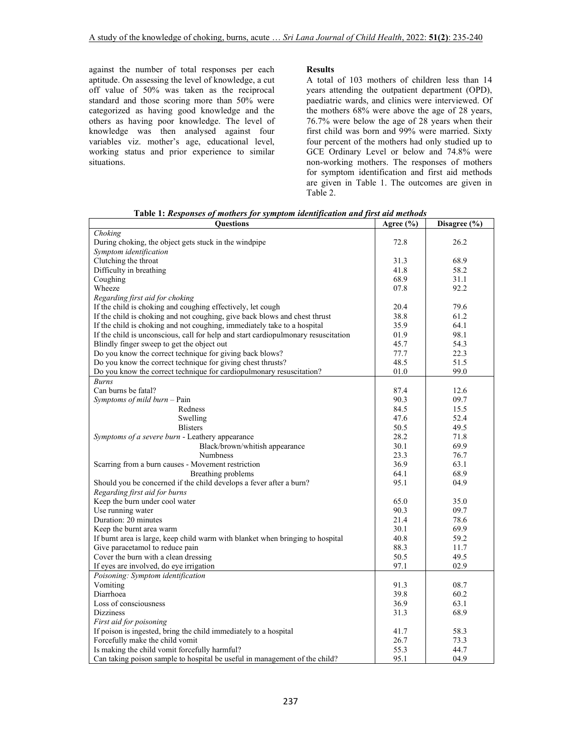against the number of total responses per each aptitude. On assessing the level of knowledge, a cut off value of 50% was taken as the reciprocal standard and those scoring more than 50% were categorized as having good knowledge and the others as having poor knowledge. The level of knowledge was then analysed against four variables viz. mother's age, educational level, working status and prior experience to similar situations.

### **Results**

A total of 103 mothers of children less than 14 years attending the outpatient department (OPD), paediatric wards, and clinics were interviewed. Of the mothers 68% were above the age of 28 years, 76.7% were below the age of 28 years when their first child was born and 99% were married. Sixty four percent of the mothers had only studied up to GCE Ordinary Level or below and 74.8% were non-working mothers. The responses of mothers for symptom identification and first aid methods are given in Table 1. The outcomes are given in Table 2.

 **Table 1:** *Responses of mothers for symptom identification and first aid methods*

| Questions                                                                          | Agree (%) | Disagree (%) |
|------------------------------------------------------------------------------------|-----------|--------------|
| Choking                                                                            |           |              |
| During choking, the object gets stuck in the windpipe                              | 72.8      | 26.2         |
| Symptom identification                                                             |           |              |
| Clutching the throat                                                               | 31.3      | 68.9         |
| Difficulty in breathing                                                            | 41.8      | 58.2         |
| Coughing                                                                           | 68.9      | 31.1         |
| Wheeze                                                                             | 07.8      | 92.2         |
| Regarding first aid for choking                                                    |           |              |
| If the child is choking and coughing effectively, let cough                        | 20.4      | 79.6         |
| If the child is choking and not coughing, give back blows and chest thrust         | 38.8      | 61.2         |
| If the child is choking and not coughing, immediately take to a hospital           | 35.9      | 64.1         |
| If the child is unconscious, call for help and start cardiopulmonary resuscitation | 01.9      | 98.1         |
| Blindly finger sweep to get the object out                                         | 45.7      | 54.3         |
| Do you know the correct technique for giving back blows?                           | 77.7      | 22.3         |
| Do you know the correct technique for giving chest thrusts?                        | 48.5      | 51.5         |
| Do you know the correct technique for cardiopulmonary resuscitation?               | 01.0      | 99.0         |
| <b>Burns</b>                                                                       |           |              |
| Can burns be fatal?                                                                |           |              |
|                                                                                    | 87.4      | 12.6         |
| Symptoms of mild burn - Pain                                                       | 90.3      | 09.7         |
| Redness                                                                            | 84.5      | 15.5         |
| Swelling                                                                           | 47.6      | 52.4         |
| <b>Blisters</b>                                                                    | 50.5      | 49.5         |
| Symptoms of a severe burn - Leathery appearance                                    | 28.2      | 71.8         |
| Black/brown/whitish appearance                                                     | 30.1      | 69.9         |
| Numbness                                                                           | 23.3      | 76.7         |
| Scarring from a burn causes - Movement restriction                                 | 36.9      | 63.1         |
| Breathing problems                                                                 | 64.1      | 68.9         |
| Should you be concerned if the child develops a fever after a burn?                | 95.1      | 04.9         |
| Regarding first aid for burns                                                      |           |              |
| Keep the burn under cool water                                                     | 65.0      | 35.0         |
| Use running water                                                                  | 90.3      | 09.7         |
| Duration: 20 minutes                                                               | 21.4      | 78.6         |
| Keep the burnt area warm                                                           | 30.1      | 69.9         |
| If burnt area is large, keep child warm with blanket when bringing to hospital     | 40.8      | 59.2         |
| Give paracetamol to reduce pain                                                    | 88.3      | 11.7         |
| Cover the burn with a clean dressing                                               | 50.5      | 49.5         |
| If eyes are involved, do eye irrigation                                            | 97.1      | 02.9         |
| Poisoning: Symptom identification                                                  |           |              |
| Vomiting                                                                           | 91.3      | 08.7         |
| Diarrhoea                                                                          | 39.8      | 60.2         |
| Loss of consciousness                                                              | 36.9      | 63.1         |
| <b>Dizziness</b>                                                                   | 31.3      | 68.9         |
| First aid for poisoning                                                            |           |              |
| If poison is ingested, bring the child immediately to a hospital                   | 41.7      | 58.3         |
| Forcefully make the child vomit                                                    | 26.7      | 73.3         |
| Is making the child vomit forcefully harmful?                                      | 55.3      | 44.7         |
|                                                                                    |           |              |
| Can taking poison sample to hospital be useful in management of the child?         | 95.1      | 04.9         |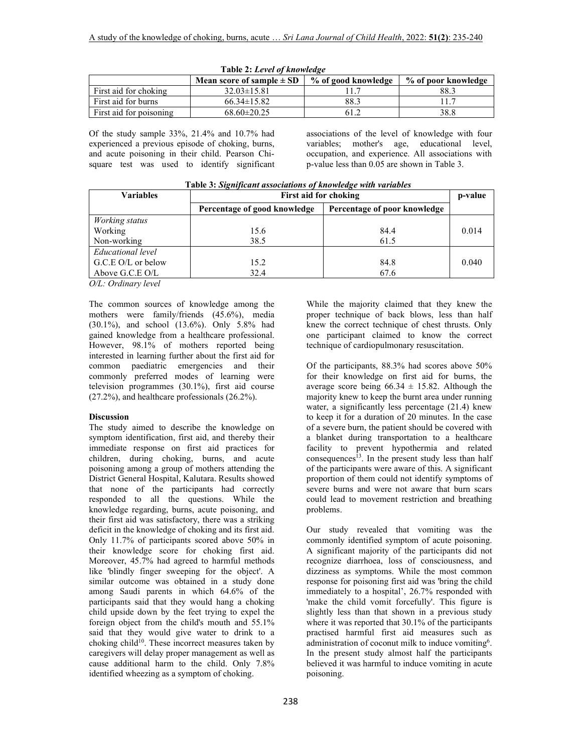|                         | Mean score of sample $\pm$ SD | % of good knowledge | % of poor knowledge |
|-------------------------|-------------------------------|---------------------|---------------------|
| First aid for choking   | $32.03 \pm 15.81$             |                     | 88.3                |
| First aid for burns     | $66.34 \pm 15.82$             | 88.3                |                     |
| First aid for poisoning | $68.60 \pm 20.25$             | 61.2                | 38.8                |

**Table 2:** *Level of knowledge*

Of the study sample 33%, 21.4% and 10.7% had experienced a previous episode of choking, burns, and acute poisoning in their child. Pearson Chisquare test was used to identify significant

associations of the level of knowledge with four variables; mother's age, educational level, occupation, and experience. All associations with p-value less than 0.05 are shown in Table 3.

| <b>Variables</b>   | First aid for choking        |                              |       |
|--------------------|------------------------------|------------------------------|-------|
|                    | Percentage of good knowledge | Percentage of poor knowledge |       |
| Working status     |                              |                              |       |
| Working            | 15.6                         | 84.4                         | 0.014 |
| Non-working        | 38.5                         | 61.5                         |       |
| Educational level  |                              |                              |       |
| G.C.E O/L or below | 15.2                         | 84.8                         | 0.040 |
| Above G.C.E O/L    | 32.4                         | 67.6                         |       |

*O/L: Ordinary level* 

The common sources of knowledge among the mothers were family/friends (45.6%), media (30.1%), and school (13.6%). Only 5.8% had gained knowledge from a healthcare professional. However, 98.1% of mothers reported being interested in learning further about the first aid for common paediatric emergencies and their commonly preferred modes of learning were television programmes (30.1%), first aid course (27.2%), and healthcare professionals (26.2%).

#### **Discussion**

The study aimed to describe the knowledge on symptom identification, first aid, and thereby their immediate response on first aid practices for children, during choking, burns, and acute poisoning among a group of mothers attending the District General Hospital, Kalutara. Results showed that none of the participants had correctly responded to all the questions. While the knowledge regarding, burns, acute poisoning, and their first aid was satisfactory, there was a striking deficit in the knowledge of choking and its first aid. Only 11.7% of participants scored above 50% in their knowledge score for choking first aid. Moreover, 45.7% had agreed to harmful methods like 'blindly finger sweeping for the object'. A similar outcome was obtained in a study done among Saudi parents in which 64.6% of the participants said that they would hang a choking child upside down by the feet trying to expel the foreign object from the child's mouth and 55.1% said that they would give water to drink to a choking child<sup>10</sup>. These incorrect measures taken by caregivers will delay proper management as well as cause additional harm to the child. Only 7.8% identified wheezing as a symptom of choking.

While the majority claimed that they knew the proper technique of back blows, less than half knew the correct technique of chest thrusts. Only one participant claimed to know the correct technique of cardiopulmonary resuscitation.

Of the participants, 88.3% had scores above 50% for their knowledge on first aid for burns, the average score being  $66.34 \pm 15.82$ . Although the majority knew to keep the burnt area under running water, a significantly less percentage (21.4) knew to keep it for a duration of 20 minutes. In the case of a severe burn, the patient should be covered with a blanket during transportation to a healthcare facility to prevent hypothermia and related consequences $\hat{1}^3$ . In the present study less than half of the participants were aware of this. A significant proportion of them could not identify symptoms of severe burns and were not aware that burn scars could lead to movement restriction and breathing problems.

Our study revealed that vomiting was the commonly identified symptom of acute poisoning. A significant majority of the participants did not recognize diarrhoea, loss of consciousness, and dizziness as symptoms. While the most common response for poisoning first aid was 'bring the child immediately to a hospital', 26.7% responded with 'make the child vomit forcefully'. This figure is slightly less than that shown in a previous study where it was reported that 30.1% of the participants practised harmful first aid measures such as administration of coconut milk to induce vomiting<sup>6</sup>. In the present study almost half the participants believed it was harmful to induce vomiting in acute poisoning.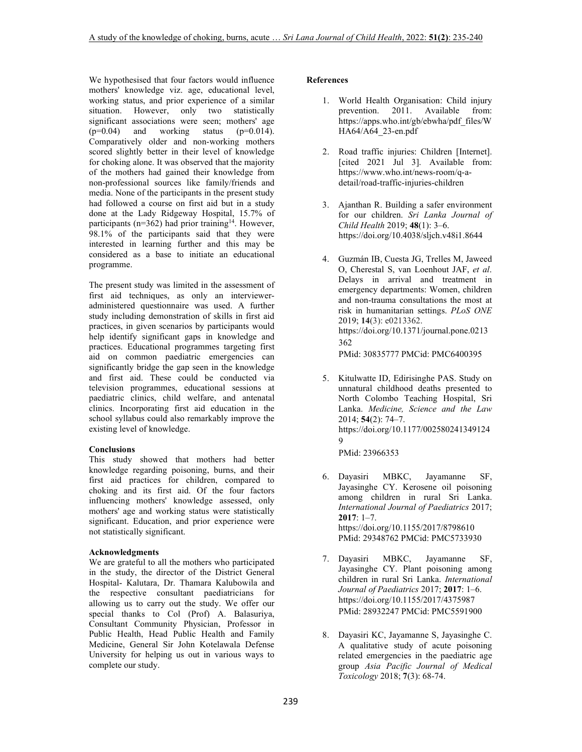We hypothesised that four factors would influence mothers' knowledge viz. age, educational level, working status, and prior experience of a similar situation. However, only two statistically significant associations were seen; mothers' age<br> $(p=0.04)$  and working status  $(p=0.014)$ .  $(p=0.04)$  and working status Comparatively older and non-working mothers scored slightly better in their level of knowledge for choking alone. It was observed that the majority of the mothers had gained their knowledge from non-professional sources like family/friends and media. None of the participants in the present study had followed a course on first aid but in a study done at the Lady Ridgeway Hospital, 15.7% of participants ( $n=362$ ) had prior training<sup>14</sup>. However, 98.1% of the participants said that they were interested in learning further and this may be considered as a base to initiate an educational programme.

The present study was limited in the assessment of first aid techniques, as only an intervieweradministered questionnaire was used. A further study including demonstration of skills in first aid practices, in given scenarios by participants would help identify significant gaps in knowledge and practices. Educational programmes targeting first aid on common paediatric emergencies can significantly bridge the gap seen in the knowledge and first aid. These could be conducted via television programmes, educational sessions at paediatric clinics, child welfare, and antenatal clinics. Incorporating first aid education in the school syllabus could also remarkably improve the existing level of knowledge.

## **Conclusions**

This study showed that mothers had better knowledge regarding poisoning, burns, and their first aid practices for children, compared to choking and its first aid. Of the four factors influencing mothers' knowledge assessed, only mothers' age and working status were statistically significant. Education, and prior experience were not statistically significant.

### **Acknowledgments**

We are grateful to all the mothers who participated in the study, the director of the District General Hospital- Kalutara, Dr. Thamara Kalubowila and the respective consultant paediatricians for allowing us to carry out the study. We offer our special thanks to Col (Prof) A. Balasuriya, Consultant Community Physician, Professor in Public Health, Head Public Health and Family Medicine, General Sir John Kotelawala Defense University for helping us out in various ways to complete our study.

### **References**

- 1. World Health Organisation: Child injury prevention. 2011. Available from: https://apps.who.int/gb/ebwha/pdf\_files/W HA64/A64 23-en.pdf
- 2. Road traffic injuries: Children [Internet]. [cited 2021 Jul 3]. Available from: https://www.who.int/news-room/q-adetail/road-traffic-injuries-children
- 3. Ajanthan R. Building a safer environment for our children. *Sri Lanka Journal of Child Health* 2019; **48**(1): 3–6. https://doi.org/10.4038/sljch.v48i1.8644
- 4. Guzmán IB, Cuesta JG, Trelles M, Jaweed O, Cherestal S, van Loenhout JAF, *et al*. Delays in arrival and treatment in emergency departments: Women, children and non-trauma consultations the most at risk in humanitarian settings. *PLoS ONE* 2019; **14**(3): e0213362. https://doi.org/10.1371/journal.pone.0213 362

PMid: 30835777 PMCid: PMC6400395

5. Kitulwatte ID, Edirisinghe PAS. Study on unnatural childhood deaths presented to North Colombo Teaching Hospital, Sri Lanka. *Medicine, Science and the Law* 2014; **54**(2): 74–7. https://doi.org/10.1177/002580241349124 9

PMid: 23966353

- 6. Dayasiri MBKC, Jayamanne SF, Jayasinghe CY. Kerosene oil poisoning among children in rural Sri Lanka. *International Journal of Paediatrics* 2017; **2017**: 1–7. https://doi.org/10.1155/2017/8798610 PMid: 29348762 PMCid: PMC5733930
- 7. Dayasiri MBKC, Jayamanne SF, Jayasinghe CY. Plant poisoning among children in rural Sri Lanka. *International Journal of Paediatrics* 2017; **2017**: 1–6. https://doi.org/10.1155/2017/4375987 PMid: 28932247 PMCid: PMC5591900
- 8. Dayasiri KC, Jayamanne S, Jayasinghe C. A qualitative study of acute poisoning related emergencies in the paediatric age group *Asia Pacific Journal of Medical Toxicology* 2018; **7**(3): 68-74.